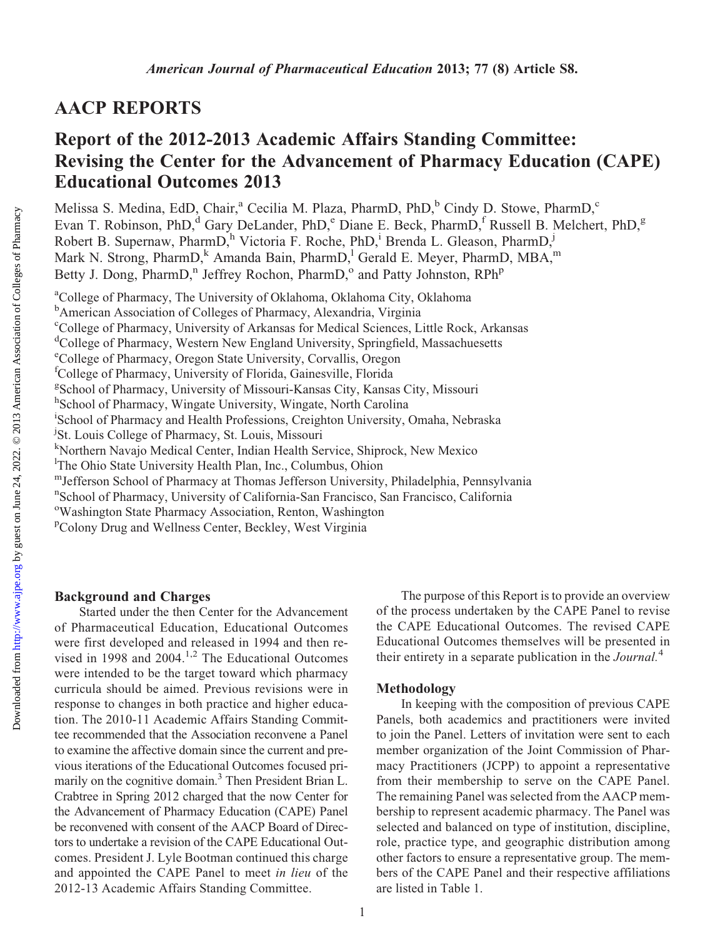# AACP REPORTS

# Report of the 2012-2013 Academic Affairs Standing Committee: Revising the Center for the Advancement of Pharmacy Education (CAPE) Educational Outcomes 2013

Melissa S. Medina, EdD, Chair,<sup>a</sup> Cecilia M. Plaza, PharmD, PhD,<sup>b</sup> Cindy D. Stowe, PharmD,<sup>c</sup> Evan T. Robinson, PhD,<sup>d</sup> Gary DeLander, PhD,<sup>e</sup> Diane E. Beck, PharmD,<sup>f</sup> Russell B. Melchert, PhD,<sup>g</sup> Robert B. Supernaw, PharmD,<sup>h</sup> Victoria F. Roche, PhD,<sup>i</sup> Brenda L. Gleason, PharmD,<sup>j</sup> Mark N. Strong, PharmD, Amanda Bain, PharmD, <sup>1</sup> Gerald E. Meyer, PharmD, MBA,<sup>m</sup> Betty J. Dong, PharmD,<sup>n</sup> Jeffrey Rochon, PharmD,<sup>o</sup> and Patty Johnston, RPh<sup>p</sup>

<sup>a</sup>College of Pharmacy, The University of Oklahoma, Oklahoma City, Oklahoma **b** American Association of Colleges of Pharmacy, Alexandria, Virginia c College of Pharmacy, University of Arkansas for Medical Sciences, Little Rock, Arkansas <sup>d</sup>College of Pharmacy, Western New England University, Springfield, Massachuesetts e College of Pharmacy, Oregon State University, Corvallis, Oregon f College of Pharmacy, University of Florida, Gainesville, Florida g School of Pharmacy, University of Missouri-Kansas City, Kansas City, Missouri h School of Pharmacy, Wingate University, Wingate, North Carolina i School of Pharmacy and Health Professions, Creighton University, Omaha, Nebraska j St. Louis College of Pharmacy, St. Louis, Missouri k Northern Navajo Medical Center, Indian Health Service, Shiprock, New Mexico <sup>1</sup>The Ohio State University Health Plan, Inc., Columbus, Ohion mJefferson School of Pharmacy at Thomas Jefferson University, Philadelphia, Pennsylvania n School of Pharmacy, University of California-San Francisco, San Francisco, California <sup>o</sup>Washington State Pharmacy Association, Renton, Washington <sup>p</sup>Colony Drug and Wellness Center, Beckley, West Virginia

## Background and Charges

Started under the then Center for the Advancement of Pharmaceutical Education, Educational Outcomes were first developed and released in 1994 and then revised in 1998 and 2004.<sup>1,2</sup> The Educational Outcomes were intended to be the target toward which pharmacy curricula should be aimed. Previous revisions were in response to changes in both practice and higher education. The 2010-11 Academic Affairs Standing Committee recommended that the Association reconvene a Panel to examine the affective domain since the current and previous iterations of the Educational Outcomes focused primarily on the cognitive domain.<sup>3</sup> Then President Brian L. Crabtree in Spring 2012 charged that the now Center for the Advancement of Pharmacy Education (CAPE) Panel be reconvened with consent of the AACP Board of Directors to undertake a revision of the CAPE Educational Outcomes. President J. Lyle Bootman continued this charge and appointed the CAPE Panel to meet in lieu of the 2012-13 Academic Affairs Standing Committee.

The purpose of this Report is to provide an overview of the process undertaken by the CAPE Panel to revise the CAPE Educational Outcomes. The revised CAPE Educational Outcomes themselves will be presented in their entirety in a separate publication in the *Journal*.<sup>4</sup>

#### Methodology

In keeping with the composition of previous CAPE Panels, both academics and practitioners were invited to join the Panel. Letters of invitation were sent to each member organization of the Joint Commission of Pharmacy Practitioners (JCPP) to appoint a representative from their membership to serve on the CAPE Panel. The remaining Panel was selected from the AACP membership to represent academic pharmacy. The Panel was selected and balanced on type of institution, discipline, role, practice type, and geographic distribution among other factors to ensure a representative group. The members of the CAPE Panel and their respective affiliations are listed in Table 1.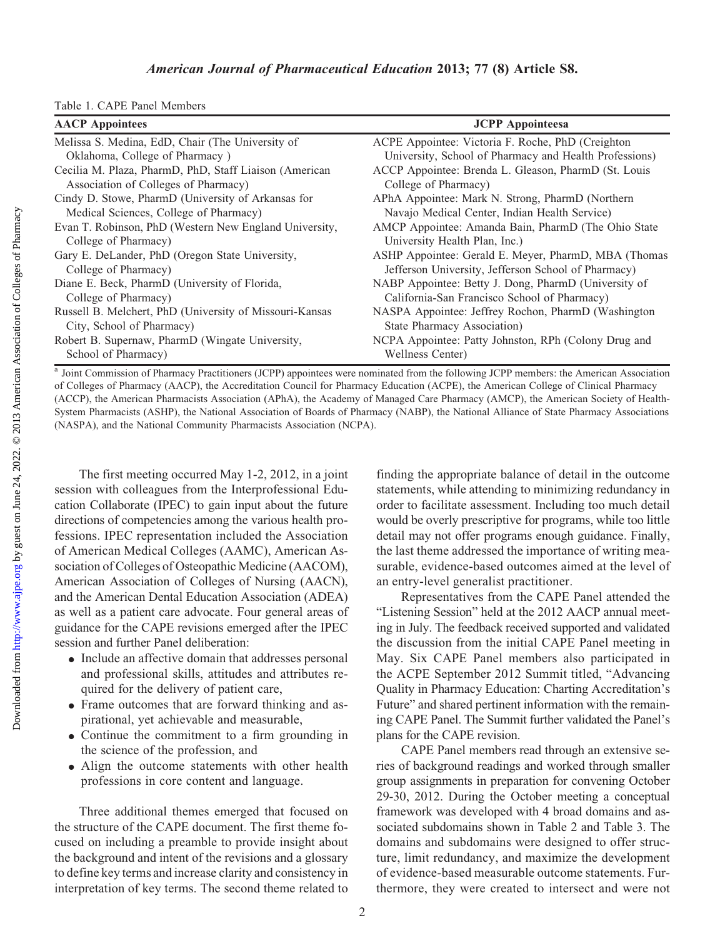| <b>AACP</b> Appointees                                  | <b>JCPP</b> Appointeesa                                |
|---------------------------------------------------------|--------------------------------------------------------|
| Melissa S. Medina, EdD, Chair (The University of        | ACPE Appointee: Victoria F. Roche, PhD (Creighton      |
| Oklahoma, College of Pharmacy)                          | University, School of Pharmacy and Health Professions) |
| Cecilia M. Plaza, PharmD, PhD, Staff Liaison (American  | ACCP Appointee: Brenda L. Gleason, PharmD (St. Louis   |
| Association of Colleges of Pharmacy)                    | College of Pharmacy)                                   |
| Cindy D. Stowe, PharmD (University of Arkansas for      | APhA Appointee: Mark N. Strong, PharmD (Northern       |
| Medical Sciences, College of Pharmacy)                  | Navajo Medical Center, Indian Health Service)          |
| Evan T. Robinson, PhD (Western New England University,  | AMCP Appointee: Amanda Bain, PharmD (The Ohio State    |
| College of Pharmacy)                                    | University Health Plan, Inc.)                          |
| Gary E. DeLander, PhD (Oregon State University,         | ASHP Appointee: Gerald E. Meyer, PharmD, MBA (Thomas   |
| College of Pharmacy)                                    | Jefferson University, Jefferson School of Pharmacy)    |
| Diane E. Beck, PharmD (University of Florida,           | NABP Appointee: Betty J. Dong, PharmD (University of   |
| College of Pharmacy)                                    | California-San Francisco School of Pharmacy)           |
| Russell B. Melchert, PhD (University of Missouri-Kansas | NASPA Appointee: Jeffrey Rochon, PharmD (Washington)   |
| City, School of Pharmacy)                               | <b>State Pharmacy Association</b> )                    |
| Robert B. Supernaw, PharmD (Wingate University,         | NCPA Appointee: Patty Johnston, RPh (Colony Drug and   |
| School of Pharmacy)                                     | Wellness Center)                                       |

<sup>a</sup> Joint Commission of Pharmacy Practitioners (JCPP) appointees were nominated from the following JCPP members: the American Association of Colleges of Pharmacy (AACP), the Accreditation Council for Pharmacy Education (ACPE), the American College of Clinical Pharmacy (ACCP), the American Pharmacists Association (APhA), the Academy of Managed Care Pharmacy (AMCP), the American Society of Health-System Pharmacists (ASHP), the National Association of Boards of Pharmacy (NABP), the National Alliance of State Pharmacy Associations (NASPA), and the National Community Pharmacists Association (NCPA).

The first meeting occurred May 1-2, 2012, in a joint session with colleagues from the Interprofessional Education Collaborate (IPEC) to gain input about the future directions of competencies among the various health professions. IPEC representation included the Association of American Medical Colleges (AAMC), American Association of Colleges of Osteopathic Medicine (AACOM), American Association of Colleges of Nursing (AACN), and the American Dental Education Association (ADEA) as well as a patient care advocate. Four general areas of guidance for the CAPE revisions emerged after the IPEC session and further Panel deliberation:

- Include an affective domain that addresses personal and professional skills, attitudes and attributes required for the delivery of patient care,
- Frame outcomes that are forward thinking and aspirational, yet achievable and measurable,
- Continue the commitment to a firm grounding in the science of the profession, and
- Align the outcome statements with other health professions in core content and language.

Three additional themes emerged that focused on the structure of the CAPE document. The first theme focused on including a preamble to provide insight about the background and intent of the revisions and a glossary to define key terms and increase clarity and consistency in interpretation of key terms. The second theme related to

finding the appropriate balance of detail in the outcome statements, while attending to minimizing redundancy in order to facilitate assessment. Including too much detail would be overly prescriptive for programs, while too little detail may not offer programs enough guidance. Finally, the last theme addressed the importance of writing measurable, evidence-based outcomes aimed at the level of an entry-level generalist practitioner.

Representatives from the CAPE Panel attended the "Listening Session" held at the 2012 AACP annual meeting in July. The feedback received supported and validated the discussion from the initial CAPE Panel meeting in May. Six CAPE Panel members also participated in the ACPE September 2012 Summit titled, "Advancing Quality in Pharmacy Education: Charting Accreditation's Future" and shared pertinent information with the remaining CAPE Panel. The Summit further validated the Panel's plans for the CAPE revision.

CAPE Panel members read through an extensive series of background readings and worked through smaller group assignments in preparation for convening October 29-30, 2012. During the October meeting a conceptual framework was developed with 4 broad domains and associated subdomains shown in Table 2 and Table 3. The domains and subdomains were designed to offer structure, limit redundancy, and maximize the development of evidence-based measurable outcome statements. Furthermore, they were created to intersect and were not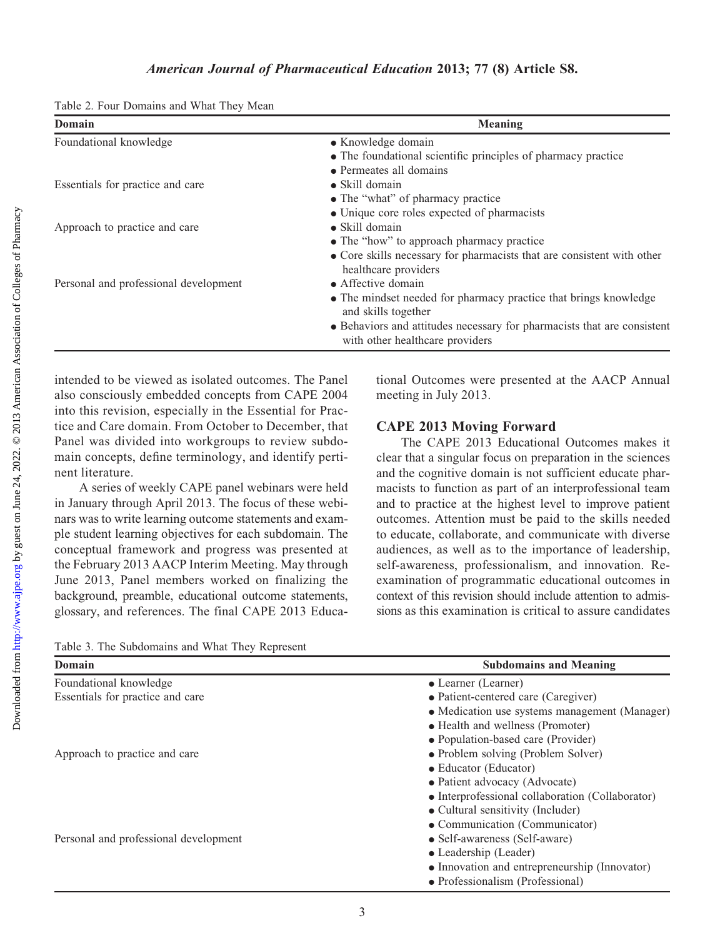|  |  |  |  |  | Table 2. Four Domains and What They Mean |  |
|--|--|--|--|--|------------------------------------------|--|
|--|--|--|--|--|------------------------------------------|--|

| Domain                                | <b>Meaning</b>                                                                                             |
|---------------------------------------|------------------------------------------------------------------------------------------------------------|
| Foundational knowledge                | • Knowledge domain                                                                                         |
|                                       | • The foundational scientific principles of pharmacy practice                                              |
|                                       | • Permeates all domains                                                                                    |
| Essentials for practice and care      | $\bullet$ Skill domain                                                                                     |
|                                       | • The "what" of pharmacy practice                                                                          |
|                                       | • Unique core roles expected of pharmacists                                                                |
| Approach to practice and care         | $\bullet$ Skill domain                                                                                     |
|                                       | • The "how" to approach pharmacy practice                                                                  |
|                                       | • Core skills necessary for pharmacists that are consistent with other                                     |
|                                       | healthcare providers                                                                                       |
| Personal and professional development | $\bullet$ Affective domain                                                                                 |
|                                       | • The mindset needed for pharmacy practice that brings knowledge<br>and skills together                    |
|                                       | • Behaviors and attitudes necessary for pharmacists that are consistent<br>with other healthcare providers |

intended to be viewed as isolated outcomes. The Panel also consciously embedded concepts from CAPE 2004 into this revision, especially in the Essential for Practice and Care domain. From October to December, that Panel was divided into workgroups to review subdomain concepts, define terminology, and identify pertinent literature.

A series of weekly CAPE panel webinars were held in January through April 2013. The focus of these webinars was to write learning outcome statements and example student learning objectives for each subdomain. The conceptual framework and progress was presented at the February 2013 AACP Interim Meeting. May through June 2013, Panel members worked on finalizing the background, preamble, educational outcome statements, glossary, and references. The final CAPE 2013 Educational Outcomes were presented at the AACP Annual meeting in July 2013.

## CAPE 2013 Moving Forward

The CAPE 2013 Educational Outcomes makes it clear that a singular focus on preparation in the sciences and the cognitive domain is not sufficient educate pharmacists to function as part of an interprofessional team and to practice at the highest level to improve patient outcomes. Attention must be paid to the skills needed to educate, collaborate, and communicate with diverse audiences, as well as to the importance of leadership, self-awareness, professionalism, and innovation. Reexamination of programmatic educational outcomes in context of this revision should include attention to admissions as this examination is critical to assure candidates

Table 3. The Subdomains and What They Represent

| Domain                                | <b>Subdomains and Meaning</b>                    |  |  |
|---------------------------------------|--------------------------------------------------|--|--|
| Foundational knowledge                | • Learner (Learner)                              |  |  |
| Essentials for practice and care      | • Patient-centered care (Caregiver)              |  |  |
|                                       | • Medication use systems management (Manager)    |  |  |
|                                       | • Health and wellness (Promoter)                 |  |  |
|                                       | • Population-based care (Provider)               |  |  |
| Approach to practice and care         | • Problem solving (Problem Solver)               |  |  |
|                                       | • Educator (Educator)                            |  |  |
|                                       | • Patient advocacy (Advocate)                    |  |  |
|                                       | • Interprofessional collaboration (Collaborator) |  |  |
|                                       | • Cultural sensitivity (Includer)                |  |  |
|                                       | • Communication (Communicator)                   |  |  |
| Personal and professional development | • Self-awareness (Self-aware)                    |  |  |
|                                       | • Leadership (Leader)                            |  |  |
|                                       | • Innovation and entrepreneurship (Innovator)    |  |  |
|                                       | • Professionalism (Professional)                 |  |  |